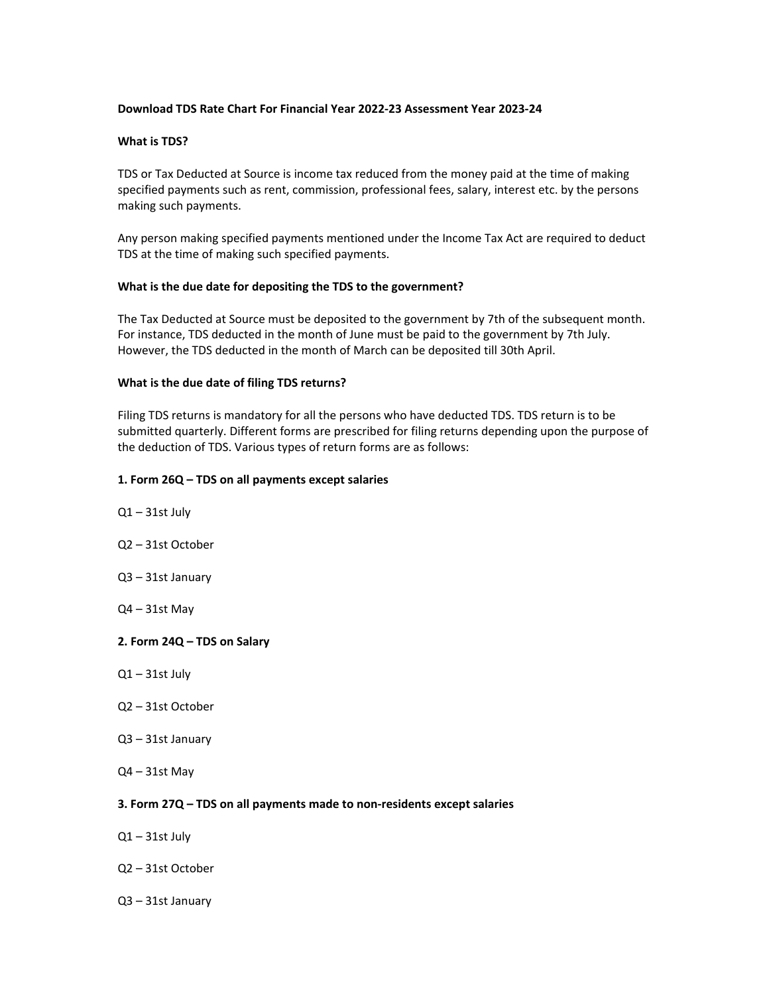## **Download TDS Rate Chart For Financial Year 2022‐23 Assessment Year 2023‐24**

## **What is TDS?**

TDS or Tax Deducted at Source is income tax reduced from the money paid at the time of making specified payments such as rent, commission, professional fees, salary, interest etc. by the persons making such payments.

Any person making specified payments mentioned under the Income Tax Act are required to deduct TDS at the time of making such specified payments.

## **What is the due date for depositing the TDS to the government?**

The Tax Deducted at Source must be deposited to the government by 7th of the subsequent month. For instance, TDS deducted in the month of June must be paid to the government by 7th July. However, the TDS deducted in the month of March can be deposited till 30th April.

## **What is the due date of filing TDS returns?**

Filing TDS returns is mandatory for all the persons who have deducted TDS. TDS return is to be submitted quarterly. Different forms are prescribed for filing returns depending upon the purpose of the deduction of TDS. Various types of return forms are as follows:

## **1. Form 26Q – TDS on all payments except salaries**

- $Q1 31$ st July
- Q2 31st October
- Q3 31st January
- Q4 31st May

### **2. Form 24Q – TDS on Salary**

- $Q1 31$ st July
- Q2 31st October
- Q3 31st January
- $Q4 31$ st May

## **3. Form 27Q – TDS on all payments made to non‐residents except salaries**

- $Q1 31$ st July
- Q2 31st October
- Q3 31st January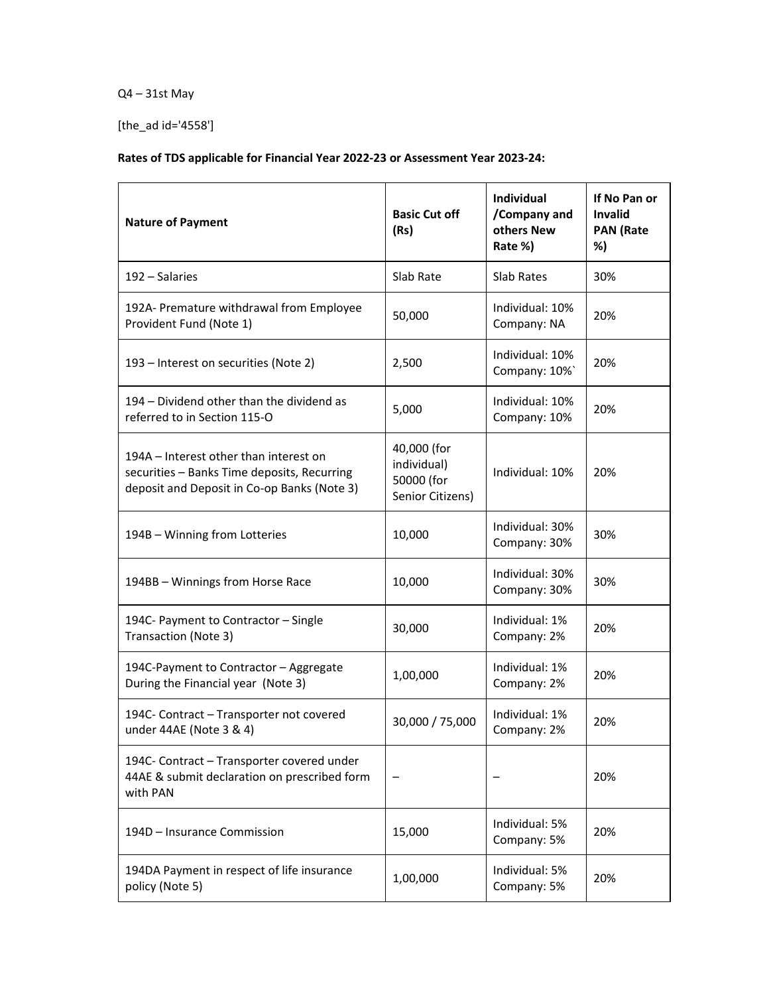# Q4 – 31st May

[the\_ad id='4558']

## **Rates of TDS applicable for Financial Year 2022‐23 or Assessment Year 2023‐24:**

| <b>Nature of Payment</b>                                                                                                             | <b>Basic Cut off</b><br>(Rs)                                 | <b>Individual</b><br>/Company and<br>others New<br>Rate %) | If No Pan or<br><b>Invalid</b><br><b>PAN (Rate</b><br>%) |
|--------------------------------------------------------------------------------------------------------------------------------------|--------------------------------------------------------------|------------------------------------------------------------|----------------------------------------------------------|
| 192 - Salaries                                                                                                                       | Slab Rate                                                    | Slab Rates                                                 | 30%                                                      |
| 192A- Premature withdrawal from Employee<br>Provident Fund (Note 1)                                                                  | 50,000                                                       | Individual: 10%<br>Company: NA                             | 20%                                                      |
| 193 – Interest on securities (Note 2)                                                                                                | 2,500                                                        | Individual: 10%<br>Company: 10%                            | 20%                                                      |
| 194 – Dividend other than the dividend as<br>referred to in Section 115-O                                                            | 5,000                                                        | Individual: 10%<br>Company: 10%                            | 20%                                                      |
| 194A – Interest other than interest on<br>securities - Banks Time deposits, Recurring<br>deposit and Deposit in Co-op Banks (Note 3) | 40,000 (for<br>individual)<br>50000 (for<br>Senior Citizens) | Individual: 10%                                            | 20%                                                      |
| 194B - Winning from Lotteries                                                                                                        | 10,000                                                       | Individual: 30%<br>Company: 30%                            | 30%                                                      |
| 194BB - Winnings from Horse Race                                                                                                     | 10,000                                                       | Individual: 30%<br>Company: 30%                            | 30%                                                      |
| 194C- Payment to Contractor - Single<br>Transaction (Note 3)                                                                         | 30,000                                                       | Individual: 1%<br>Company: 2%                              | 20%                                                      |
| 194C-Payment to Contractor - Aggregate<br>During the Financial year (Note 3)                                                         | 1,00,000                                                     | Individual: 1%<br>Company: 2%                              | 20%                                                      |
| 194C- Contract - Transporter not covered<br>under 44AE (Note 3 & 4)                                                                  | 30,000 / 75,000                                              | Individual: 1%<br>Company: 2%                              | 20%                                                      |
| 194C- Contract - Transporter covered under<br>44AE & submit declaration on prescribed form<br>with PAN                               |                                                              |                                                            | 20%                                                      |
| 194D - Insurance Commission                                                                                                          | 15,000                                                       | Individual: 5%<br>Company: 5%                              | 20%                                                      |
| 194DA Payment in respect of life insurance<br>policy (Note 5)                                                                        | 1,00,000                                                     | Individual: 5%<br>Company: 5%                              | 20%                                                      |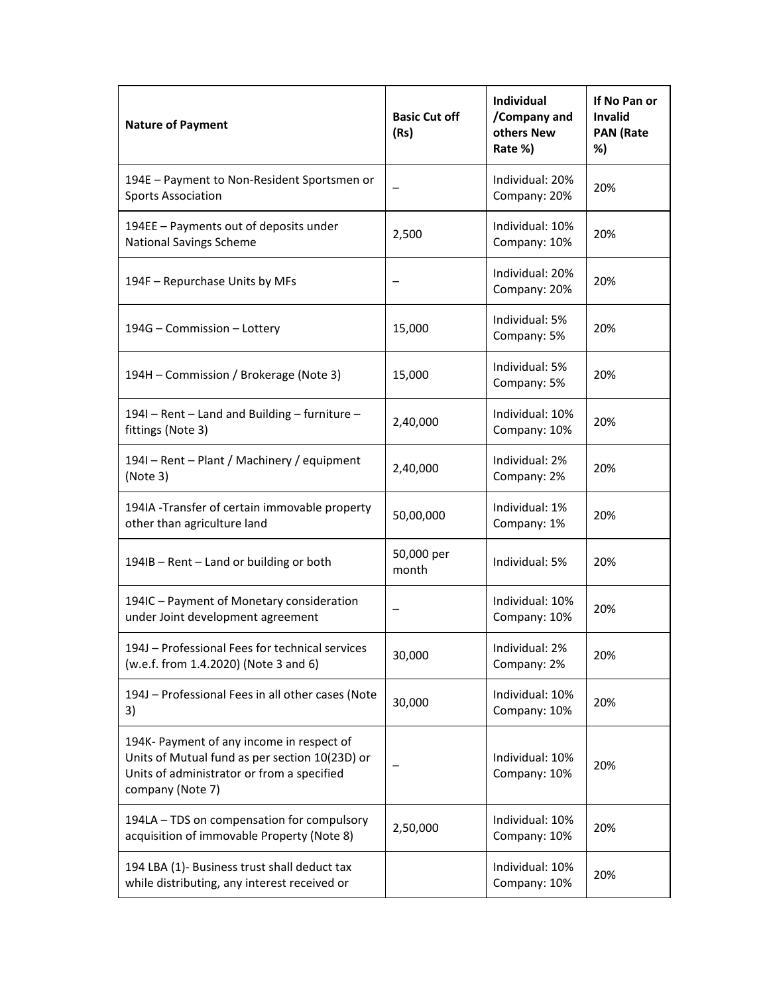| <b>Nature of Payment</b>                                                                                                                                      | <b>Basic Cut off</b><br>(Rs) | <b>Individual</b><br>/Company and<br>others New<br>Rate %) | If No Pan or<br>Invalid<br><b>PAN (Rate</b><br>%) |
|---------------------------------------------------------------------------------------------------------------------------------------------------------------|------------------------------|------------------------------------------------------------|---------------------------------------------------|
| 194E - Payment to Non-Resident Sportsmen or<br><b>Sports Association</b>                                                                                      |                              | Individual: 20%<br>Company: 20%                            | 20%                                               |
| 194EE - Payments out of deposits under<br><b>National Savings Scheme</b>                                                                                      | 2,500                        | Individual: 10%<br>Company: 10%                            | 20%                                               |
| 194F - Repurchase Units by MFs                                                                                                                                |                              | Individual: 20%<br>Company: 20%                            | 20%                                               |
| 194G - Commission - Lottery                                                                                                                                   | 15,000                       | Individual: 5%<br>Company: 5%                              | 20%                                               |
| 194H – Commission / Brokerage (Note 3)                                                                                                                        | 15,000                       | Individual: 5%<br>Company: 5%                              | 20%                                               |
| 1941 - Rent - Land and Building - furniture -<br>fittings (Note 3)                                                                                            | 2,40,000                     | Individual: 10%<br>Company: 10%                            | 20%                                               |
| 1941 – Rent – Plant / Machinery / equipment<br>(Note 3)                                                                                                       | 2,40,000                     | Individual: 2%<br>Company: 2%                              | 20%                                               |
| 194IA - Transfer of certain immovable property<br>other than agriculture land                                                                                 | 50,00,000                    | Individual: 1%<br>Company: 1%                              | 20%                                               |
| 194IB - Rent - Land or building or both                                                                                                                       | 50,000 per<br>month          | Individual: 5%                                             | 20%                                               |
| 194IC - Payment of Monetary consideration<br>under Joint development agreement                                                                                |                              | Individual: 10%<br>Company: 10%                            | 20%                                               |
| 194J - Professional Fees for technical services<br>(w.e.f. from 1.4.2020) (Note 3 and 6)                                                                      | 30,000                       | Individual: 2%<br>Company: 2%                              | 20%                                               |
| 194J - Professional Fees in all other cases (Note<br>3)                                                                                                       | 30,000                       | Individual: 10%<br>Company: 10%                            | 20%                                               |
| 194K- Payment of any income in respect of<br>Units of Mutual fund as per section 10(23D) or<br>Units of administrator or from a specified<br>company (Note 7) |                              | Individual: 10%<br>Company: 10%                            | 20%                                               |
| 194LA - TDS on compensation for compulsory<br>acquisition of immovable Property (Note 8)                                                                      | 2,50,000                     | Individual: 10%<br>Company: 10%                            | 20%                                               |
| 194 LBA (1)- Business trust shall deduct tax<br>while distributing, any interest received or                                                                  |                              | Individual: 10%<br>Company: 10%                            | 20%                                               |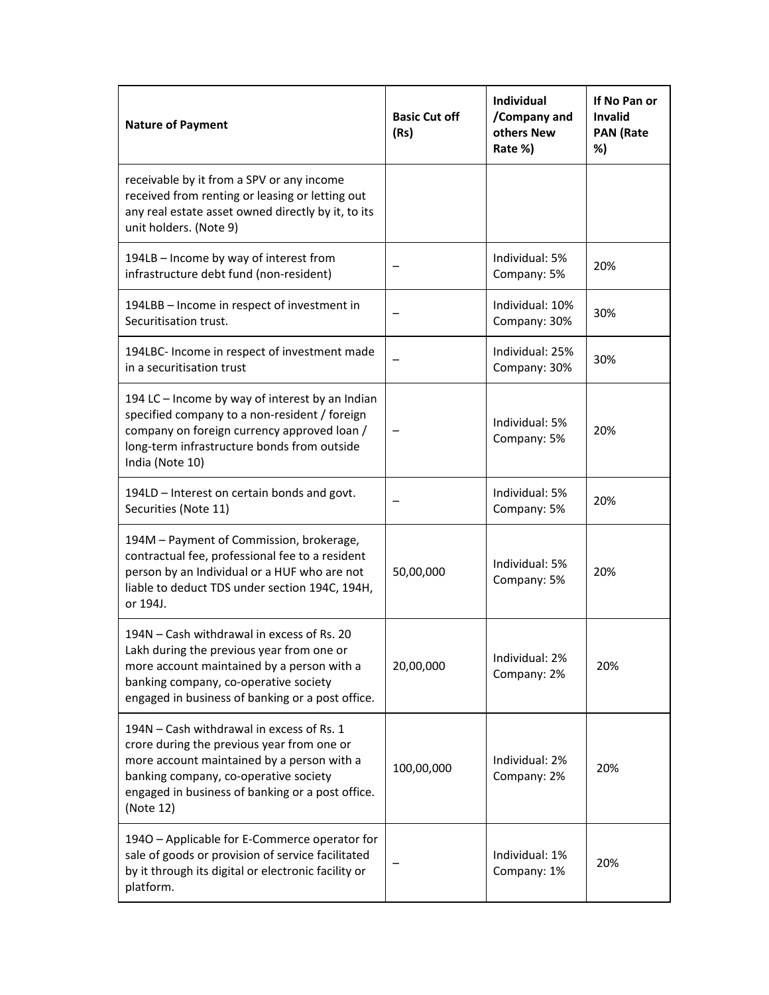| <b>Nature of Payment</b>                                                                                                                                                                                                                        | <b>Basic Cut off</b><br>(Rs) | Individual<br>/Company and<br>others New<br>Rate %) | If No Pan or<br><b>Invalid</b><br><b>PAN (Rate</b><br>%) |
|-------------------------------------------------------------------------------------------------------------------------------------------------------------------------------------------------------------------------------------------------|------------------------------|-----------------------------------------------------|----------------------------------------------------------|
| receivable by it from a SPV or any income<br>received from renting or leasing or letting out<br>any real estate asset owned directly by it, to its<br>unit holders. (Note 9)                                                                    |                              |                                                     |                                                          |
| 194LB - Income by way of interest from<br>infrastructure debt fund (non-resident)                                                                                                                                                               |                              | Individual: 5%<br>Company: 5%                       | 20%                                                      |
| 194LBB - Income in respect of investment in<br>Securitisation trust.                                                                                                                                                                            |                              | Individual: 10%<br>Company: 30%                     | 30%                                                      |
| 194LBC- Income in respect of investment made<br>in a securitisation trust                                                                                                                                                                       |                              | Individual: 25%<br>Company: 30%                     | 30%                                                      |
| 194 LC - Income by way of interest by an Indian<br>specified company to a non-resident / foreign<br>company on foreign currency approved loan /<br>long-term infrastructure bonds from outside<br>India (Note 10)                               |                              | Individual: 5%<br>Company: 5%                       | 20%                                                      |
| 194LD - Interest on certain bonds and govt.<br>Securities (Note 11)                                                                                                                                                                             |                              | Individual: 5%<br>Company: 5%                       | 20%                                                      |
| 194M - Payment of Commission, brokerage,<br>contractual fee, professional fee to a resident<br>person by an Individual or a HUF who are not<br>liable to deduct TDS under section 194C, 194H,<br>or 194J.                                       | 50,00,000                    | Individual: 5%<br>Company: 5%                       | 20%                                                      |
| 194N - Cash withdrawal in excess of Rs. 20<br>Lakh during the previous year from one or<br>more account maintained by a person with a<br>banking company, co-operative society<br>engaged in business of banking or a post office.              | 20,00,000                    | Individual: 2%<br>Company: 2%                       | 20%                                                      |
| 194N - Cash withdrawal in excess of Rs. 1<br>crore during the previous year from one or<br>more account maintained by a person with a<br>banking company, co-operative society<br>engaged in business of banking or a post office.<br>(Note 12) | 100,00,000                   | Individual: 2%<br>Company: 2%                       | 20%                                                      |
| 1940 - Applicable for E-Commerce operator for<br>sale of goods or provision of service facilitated<br>by it through its digital or electronic facility or<br>platform.                                                                          |                              | Individual: 1%<br>Company: 1%                       | 20%                                                      |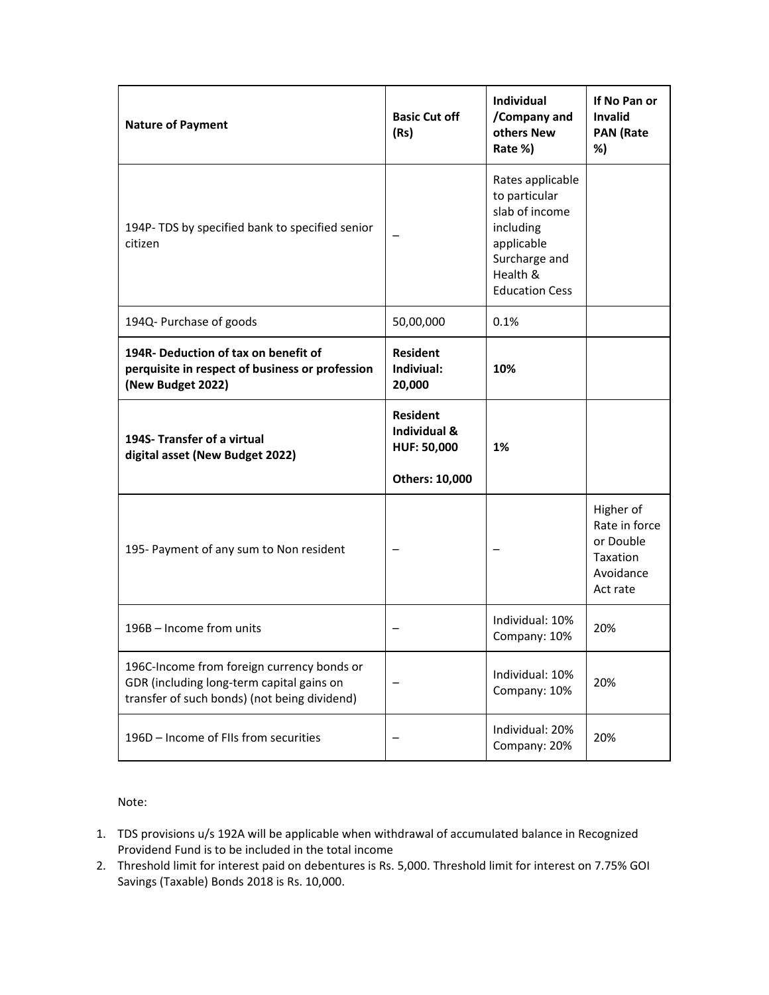| <b>Nature of Payment</b>                                                                                                                | <b>Basic Cut off</b><br>(Rs)                                            | Individual<br>/Company and<br>others New<br>Rate %)                                                                                  | If No Pan or<br><b>Invalid</b><br><b>PAN (Rate</b><br>%)                     |
|-----------------------------------------------------------------------------------------------------------------------------------------|-------------------------------------------------------------------------|--------------------------------------------------------------------------------------------------------------------------------------|------------------------------------------------------------------------------|
| 194P- TDS by specified bank to specified senior<br>citizen                                                                              |                                                                         | Rates applicable<br>to particular<br>slab of income<br>including<br>applicable<br>Surcharge and<br>Health &<br><b>Education Cess</b> |                                                                              |
| 194Q- Purchase of goods                                                                                                                 | 50,00,000                                                               | 0.1%                                                                                                                                 |                                                                              |
| 194R- Deduction of tax on benefit of<br>perquisite in respect of business or profession<br>(New Budget 2022)                            | <b>Resident</b><br>Indiviual:<br>20,000                                 | 10%                                                                                                                                  |                                                                              |
| 194S- Transfer of a virtual<br>digital asset (New Budget 2022)                                                                          | <b>Resident</b><br>Individual &<br><b>HUF: 50,000</b><br>Others: 10,000 | 1%                                                                                                                                   |                                                                              |
| 195- Payment of any sum to Non resident                                                                                                 |                                                                         |                                                                                                                                      | Higher of<br>Rate in force<br>or Double<br>Taxation<br>Avoidance<br>Act rate |
| 196B - Income from units                                                                                                                |                                                                         | Individual: 10%<br>Company: 10%                                                                                                      | 20%                                                                          |
| 196C-Income from foreign currency bonds or<br>GDR (including long-term capital gains on<br>transfer of such bonds) (not being dividend) |                                                                         | Individual: 10%<br>Company: 10%                                                                                                      | 20%                                                                          |
| 196D - Income of FIIs from securities                                                                                                   |                                                                         | Individual: 20%<br>Company: 20%                                                                                                      | 20%                                                                          |

Note:

- 1. TDS provisions u/s 192A will be applicable when withdrawal of accumulated balance in Recognized Providend Fund is to be included in the total income
- 2. Threshold limit for interest paid on debentures is Rs. 5,000. Threshold limit for interest on 7.75% GOI Savings (Taxable) Bonds 2018 is Rs. 10,000.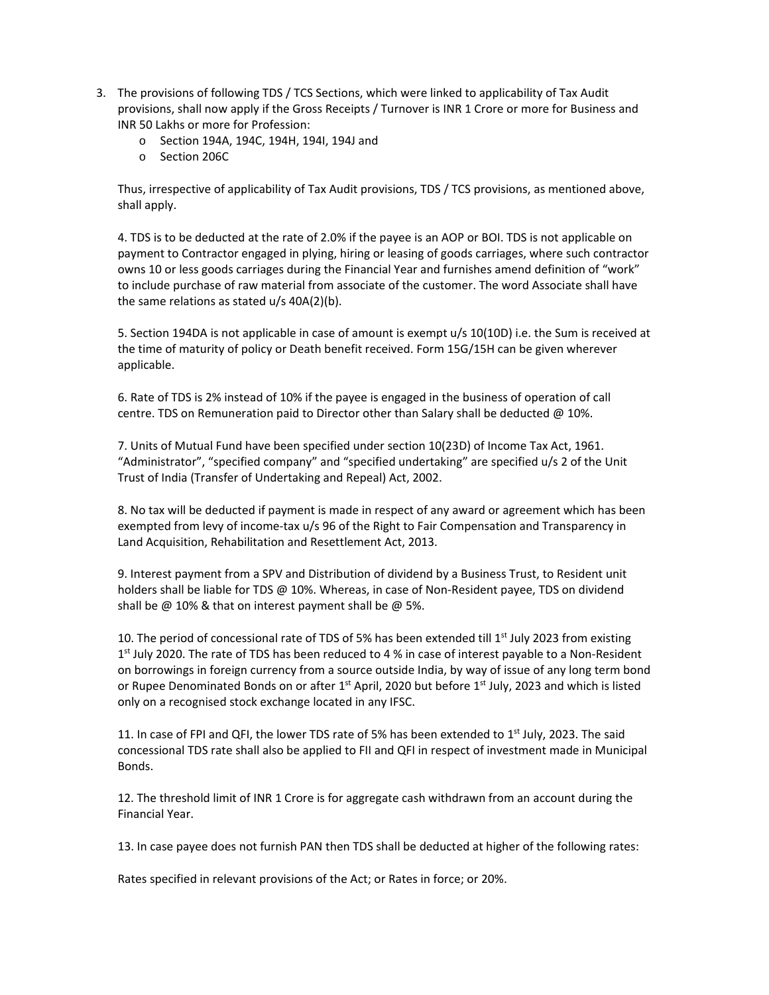- 3. The provisions of following TDS / TCS Sections, which were linked to applicability of Tax Audit provisions, shall now apply if the Gross Receipts / Turnover is INR 1 Crore or more for Business and INR 50 Lakhs or more for Profession:
	- o Section 194A, 194C, 194H, 194I, 194J and
	- o Section 206C

Thus, irrespective of applicability of Tax Audit provisions, TDS / TCS provisions, as mentioned above, shall apply.

4. TDS is to be deducted at the rate of 2.0% if the payee is an AOP or BOI. TDS is not applicable on payment to Contractor engaged in plying, hiring or leasing of goods carriages, where such contractor owns 10 or less goods carriages during the Financial Year and furnishes amend definition of "work" to include purchase of raw material from associate of the customer. The word Associate shall have the same relations as stated u/s 40A(2)(b).

5. Section 194DA is not applicable in case of amount is exempt u/s 10(10D) i.e. the Sum is received at the time of maturity of policy or Death benefit received. Form 15G/15H can be given wherever applicable.

6. Rate of TDS is 2% instead of 10% if the payee is engaged in the business of operation of call centre. TDS on Remuneration paid to Director other than Salary shall be deducted @ 10%.

7. Units of Mutual Fund have been specified under section 10(23D) of Income Tax Act, 1961. "Administrator", "specified company" and "specified undertaking" are specified u/s 2 of the Unit Trust of India (Transfer of Undertaking and Repeal) Act, 2002.

8. No tax will be deducted if payment is made in respect of any award or agreement which has been exempted from levy of income-tax u/s 96 of the Right to Fair Compensation and Transparency in Land Acquisition, Rehabilitation and Resettlement Act, 2013.

9. Interest payment from a SPV and Distribution of dividend by a Business Trust, to Resident unit holders shall be liable for TDS @ 10%. Whereas, in case of Non-Resident payee, TDS on dividend shall be  $\omega$  10% & that on interest payment shall be  $\omega$  5%.

10. The period of concessional rate of TDS of 5% has been extended till  $1<sup>st</sup>$  July 2023 from existing  $1<sup>st</sup>$  July 2020. The rate of TDS has been reduced to 4 % in case of interest payable to a Non-Resident on borrowings in foreign currency from a source outside India, by way of issue of any long term bond or Rupee Denominated Bonds on or after 1<sup>st</sup> April, 2020 but before 1<sup>st</sup> July, 2023 and which is listed only on a recognised stock exchange located in any IFSC.

11. In case of FPI and QFI, the lower TDS rate of 5% has been extended to 1<sup>st</sup> July, 2023. The said concessional TDS rate shall also be applied to FII and QFI in respect of investment made in Municipal Bonds.

12. The threshold limit of INR 1 Crore is for aggregate cash withdrawn from an account during the Financial Year.

13. In case payee does not furnish PAN then TDS shall be deducted at higher of the following rates:

Rates specified in relevant provisions of the Act; or Rates in force; or 20%.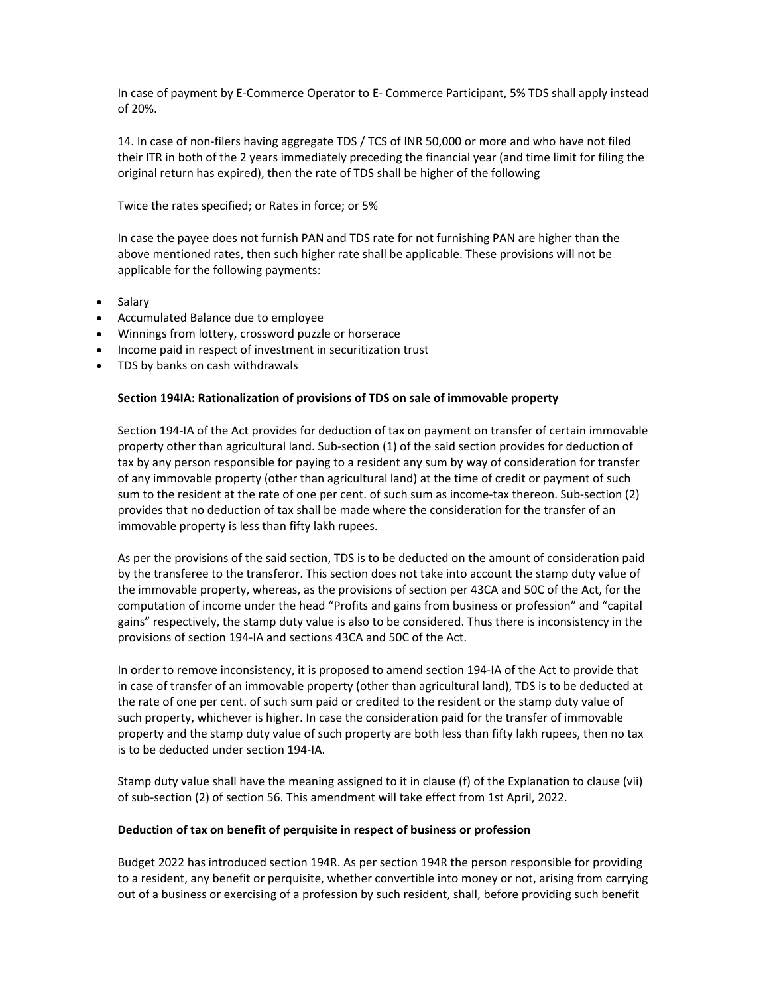In case of payment by E‐Commerce Operator to E‐ Commerce Participant, 5% TDS shall apply instead of 20%.

14. In case of non‐filers having aggregate TDS / TCS of INR 50,000 or more and who have not filed their ITR in both of the 2 years immediately preceding the financial year (and time limit for filing the original return has expired), then the rate of TDS shall be higher of the following

Twice the rates specified; or Rates in force; or 5%

In case the payee does not furnish PAN and TDS rate for not furnishing PAN are higher than the above mentioned rates, then such higher rate shall be applicable. These provisions will not be applicable for the following payments:

- Salary
- Accumulated Balance due to employee
- Winnings from lottery, crossword puzzle or horserace
- Income paid in respect of investment in securitization trust
- TDS by banks on cash withdrawals

## **Section 194IA: Rationalization of provisions of TDS on sale of immovable property**

Section 194‐IA of the Act provides for deduction of tax on payment on transfer of certain immovable property other than agricultural land. Sub‐section (1) of the said section provides for deduction of tax by any person responsible for paying to a resident any sum by way of consideration for transfer of any immovable property (other than agricultural land) at the time of credit or payment of such sum to the resident at the rate of one per cent. of such sum as income-tax thereon. Sub-section (2) provides that no deduction of tax shall be made where the consideration for the transfer of an immovable property is less than fifty lakh rupees.

As per the provisions of the said section, TDS is to be deducted on the amount of consideration paid by the transferee to the transferor. This section does not take into account the stamp duty value of the immovable property, whereas, as the provisions of section per 43CA and 50C of the Act, for the computation of income under the head "Profits and gains from business or profession" and "capital gains" respectively, the stamp duty value is also to be considered. Thus there is inconsistency in the provisions of section 194‐IA and sections 43CA and 50C of the Act.

In order to remove inconsistency, it is proposed to amend section 194‐IA of the Act to provide that in case of transfer of an immovable property (other than agricultural land), TDS is to be deducted at the rate of one per cent. of such sum paid or credited to the resident or the stamp duty value of such property, whichever is higher. In case the consideration paid for the transfer of immovable property and the stamp duty value of such property are both less than fifty lakh rupees, then no tax is to be deducted under section 194‐IA.

Stamp duty value shall have the meaning assigned to it in clause (f) of the Explanation to clause (vii) of sub‐section (2) of section 56. This amendment will take effect from 1st April, 2022.

### **Deduction of tax on benefit of perquisite in respect of business or profession**

Budget 2022 has introduced section 194R. As per section 194R the person responsible for providing to a resident, any benefit or perquisite, whether convertible into money or not, arising from carrying out of a business or exercising of a profession by such resident, shall, before providing such benefit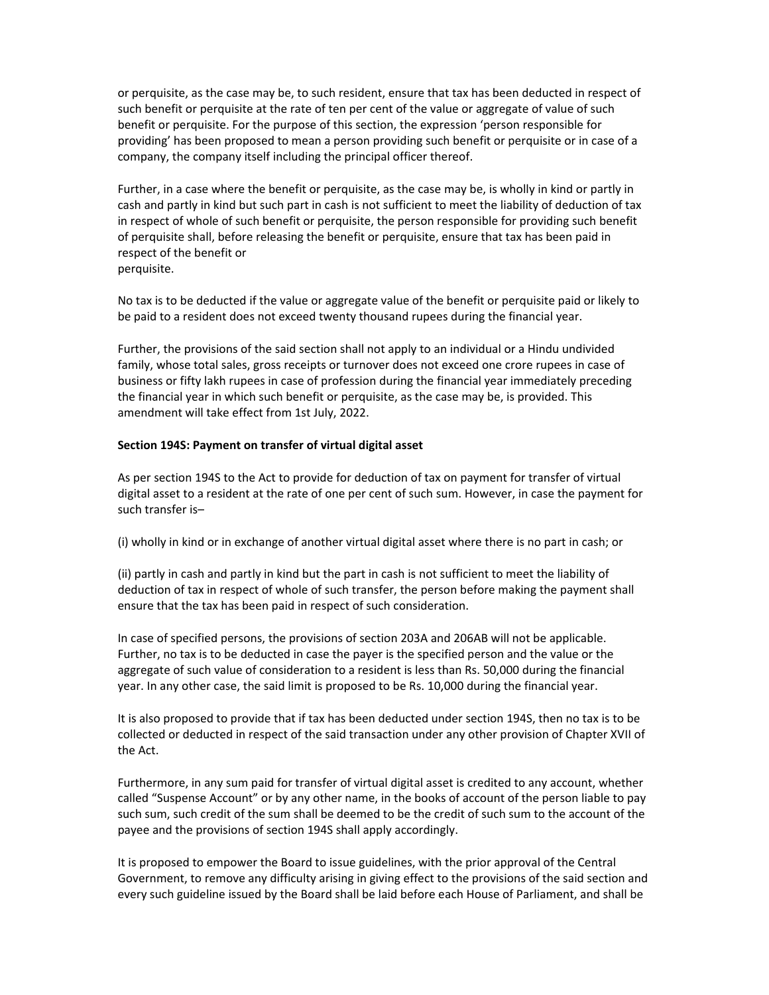or perquisite, as the case may be, to such resident, ensure that tax has been deducted in respect of such benefit or perquisite at the rate of ten per cent of the value or aggregate of value of such benefit or perquisite. For the purpose of this section, the expression 'person responsible for providing' has been proposed to mean a person providing such benefit or perquisite or in case of a company, the company itself including the principal officer thereof.

Further, in a case where the benefit or perquisite, as the case may be, is wholly in kind or partly in cash and partly in kind but such part in cash is not sufficient to meet the liability of deduction of tax in respect of whole of such benefit or perquisite, the person responsible for providing such benefit of perquisite shall, before releasing the benefit or perquisite, ensure that tax has been paid in respect of the benefit or perquisite.

No tax is to be deducted if the value or aggregate value of the benefit or perquisite paid or likely to be paid to a resident does not exceed twenty thousand rupees during the financial year.

Further, the provisions of the said section shall not apply to an individual or a Hindu undivided family, whose total sales, gross receipts or turnover does not exceed one crore rupees in case of business or fifty lakh rupees in case of profession during the financial year immediately preceding the financial year in which such benefit or perquisite, as the case may be, is provided. This amendment will take effect from 1st July, 2022.

### **Section 194S: Payment on transfer of virtual digital asset**

As per section 194S to the Act to provide for deduction of tax on payment for transfer of virtual digital asset to a resident at the rate of one per cent of such sum. However, in case the payment for such transfer is–

(i) wholly in kind or in exchange of another virtual digital asset where there is no part in cash; or

(ii) partly in cash and partly in kind but the part in cash is not sufficient to meet the liability of deduction of tax in respect of whole of such transfer, the person before making the payment shall ensure that the tax has been paid in respect of such consideration.

In case of specified persons, the provisions of section 203A and 206AB will not be applicable. Further, no tax is to be deducted in case the payer is the specified person and the value or the aggregate of such value of consideration to a resident is less than Rs. 50,000 during the financial year. In any other case, the said limit is proposed to be Rs. 10,000 during the financial year.

It is also proposed to provide that if tax has been deducted under section 194S, then no tax is to be collected or deducted in respect of the said transaction under any other provision of Chapter XVII of the Act.

Furthermore, in any sum paid for transfer of virtual digital asset is credited to any account, whether called "Suspense Account" or by any other name, in the books of account of the person liable to pay such sum, such credit of the sum shall be deemed to be the credit of such sum to the account of the payee and the provisions of section 194S shall apply accordingly.

It is proposed to empower the Board to issue guidelines, with the prior approval of the Central Government, to remove any difficulty arising in giving effect to the provisions of the said section and every such guideline issued by the Board shall be laid before each House of Parliament, and shall be